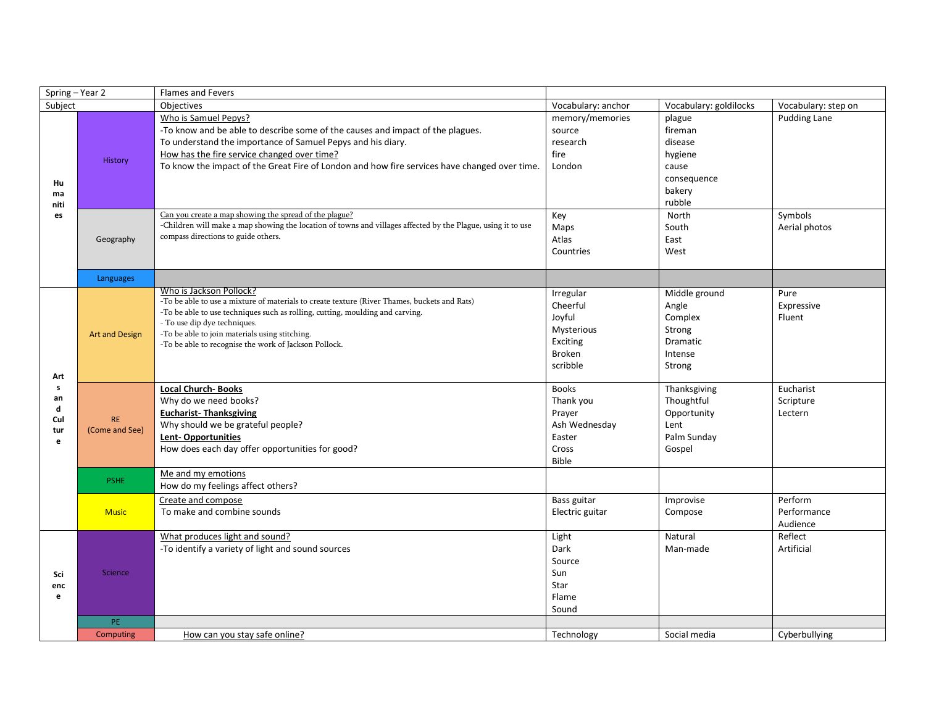| Spring - Year 2                        |                             | <b>Flames and Fevers</b>                                                                                                                                                                                                                                                                                                                                                                                                                                                                                                              |                                                                                              |                                                                                                                       |                                                 |
|----------------------------------------|-----------------------------|---------------------------------------------------------------------------------------------------------------------------------------------------------------------------------------------------------------------------------------------------------------------------------------------------------------------------------------------------------------------------------------------------------------------------------------------------------------------------------------------------------------------------------------|----------------------------------------------------------------------------------------------|-----------------------------------------------------------------------------------------------------------------------|-------------------------------------------------|
| Subject                                |                             | Objectives                                                                                                                                                                                                                                                                                                                                                                                                                                                                                                                            | Vocabulary: anchor                                                                           | Vocabulary: goldilocks                                                                                                | Vocabulary: step on                             |
| Hu<br>ma<br>niti<br>es                 | History<br>Geography        | Who is Samuel Pepys?<br>-To know and be able to describe some of the causes and impact of the plagues.<br>To understand the importance of Samuel Pepys and his diary.<br>How has the fire service changed over time?<br>To know the impact of the Great Fire of London and how fire services have changed over time.<br>Can you create a map showing the spread of the plague?<br>-Children will make a map showing the location of towns and villages affected by the Plague, using it to use<br>compass directions to guide others. | memory/memories<br>source<br>research<br>fire<br>London<br>Key<br>Maps<br>Atlas<br>Countries | plague<br>fireman<br>disease<br>hygiene<br>cause<br>consequence<br>bakery<br>rubble<br>North<br>South<br>East<br>West | <b>Pudding Lane</b><br>Symbols<br>Aerial photos |
|                                        | Languages                   |                                                                                                                                                                                                                                                                                                                                                                                                                                                                                                                                       |                                                                                              |                                                                                                                       |                                                 |
| Art<br>s<br>an<br>d<br>Cul<br>tur<br>e | <b>Art and Design</b>       | Who is Jackson Pollock?<br>-To be able to use a mixture of materials to create texture (River Thames, buckets and Rats)<br>-To be able to use techniques such as rolling, cutting, moulding and carving.<br>- To use dip dye techniques.<br>-To be able to join materials using stitching.<br>-To be able to recognise the work of Jackson Pollock.                                                                                                                                                                                   | Irregular<br>Cheerful<br>Joyful<br>Mysterious<br>Exciting<br><b>Broken</b><br>scribble       | Middle ground<br>Angle<br>Complex<br>Strong<br>Dramatic<br>Intense<br>Strong                                          | Pure<br>Expressive<br>Fluent                    |
|                                        | <b>RE</b><br>(Come and See) | <b>Local Church-Books</b><br>Why do we need books?<br><b>Eucharist- Thanksgiving</b><br>Why should we be grateful people?<br>Lent-Opportunities<br>How does each day offer opportunities for good?                                                                                                                                                                                                                                                                                                                                    | <b>Books</b><br>Thank you<br>Prayer<br>Ash Wednesday<br>Easter<br>Cross<br><b>Bible</b>      | Thanksgiving<br>Thoughtful<br>Opportunity<br>Lent<br>Palm Sunday<br>Gospel                                            | Eucharist<br>Scripture<br>Lectern               |
|                                        | <b>PSHE</b>                 | Me and my emotions<br>How do my feelings affect others?                                                                                                                                                                                                                                                                                                                                                                                                                                                                               |                                                                                              |                                                                                                                       |                                                 |
|                                        | <b>Music</b>                | Create and compose<br>To make and combine sounds                                                                                                                                                                                                                                                                                                                                                                                                                                                                                      | Bass guitar<br>Electric guitar                                                               | Improvise<br>Compose                                                                                                  | Perform<br>Performance<br>Audience              |
| Sci<br>enc<br>e                        | Science                     | What produces light and sound?<br>-To identify a variety of light and sound sources                                                                                                                                                                                                                                                                                                                                                                                                                                                   | Light<br>Dark<br>Source<br>Sun<br>Star<br>Flame<br>Sound                                     | Natural<br>Man-made                                                                                                   | Reflect<br>Artificial                           |
|                                        | PE.                         |                                                                                                                                                                                                                                                                                                                                                                                                                                                                                                                                       |                                                                                              |                                                                                                                       |                                                 |
|                                        | Computing                   | How can you stay safe online?                                                                                                                                                                                                                                                                                                                                                                                                                                                                                                         | Technology                                                                                   | Social media                                                                                                          | Cyberbullying                                   |